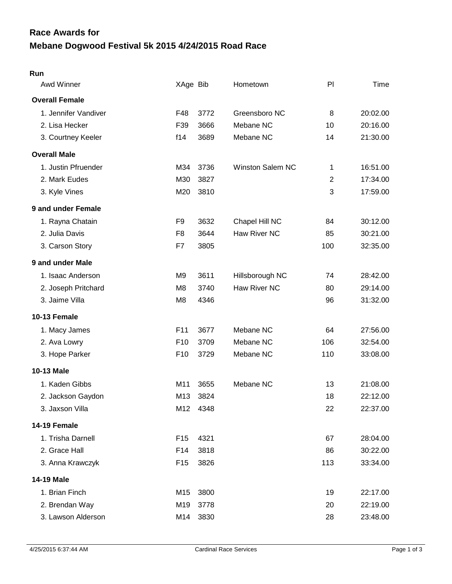## **Mebane Dogwood Festival 5k 2015 4/24/2015 Road Race Race Awards for**

## **Run**

| Awd Winner            | XAge Bib        |      | Hometown                | PI             | Time     |
|-----------------------|-----------------|------|-------------------------|----------------|----------|
| <b>Overall Female</b> |                 |      |                         |                |          |
| 1. Jennifer Vandiver  | F48             | 3772 | Greensboro NC           | 8              | 20:02.00 |
| 2. Lisa Hecker        | F39             | 3666 | Mebane NC               | 10             | 20:16.00 |
| 3. Courtney Keeler    | f14             | 3689 | Mebane NC               | 14             | 21:30.00 |
| <b>Overall Male</b>   |                 |      |                         |                |          |
| 1. Justin Pfruender   | M34             | 3736 | <b>Winston Salem NC</b> | 1              | 16:51.00 |
| 2. Mark Eudes         | M30             | 3827 |                         | $\overline{2}$ | 17:34.00 |
| 3. Kyle Vines         | M20             | 3810 |                         | 3              | 17:59.00 |
| 9 and under Female    |                 |      |                         |                |          |
| 1. Rayna Chatain      | F <sub>9</sub>  | 3632 | Chapel Hill NC          | 84             | 30:12.00 |
| 2. Julia Davis        | F <sub>8</sub>  | 3644 | Haw River NC            | 85             | 30:21.00 |
| 3. Carson Story       | F7              | 3805 |                         | 100            | 32:35.00 |
| 9 and under Male      |                 |      |                         |                |          |
| 1. Isaac Anderson     | M <sub>9</sub>  | 3611 | Hillsborough NC         | 74             | 28:42.00 |
| 2. Joseph Pritchard   | M <sub>8</sub>  | 3740 | Haw River NC            | 80             | 29:14.00 |
| 3. Jaime Villa        | M <sub>8</sub>  | 4346 |                         | 96             | 31:32.00 |
| 10-13 Female          |                 |      |                         |                |          |
| 1. Macy James         | F11             | 3677 | Mebane NC               | 64             | 27:56.00 |
| 2. Ava Lowry          | F <sub>10</sub> | 3709 | Mebane NC               | 106            | 32:54.00 |
| 3. Hope Parker        | F <sub>10</sub> | 3729 | Mebane NC               | 110            | 33:08.00 |
| 10-13 Male            |                 |      |                         |                |          |
| 1. Kaden Gibbs        | M11             | 3655 | Mebane NC               | 13             | 21:08.00 |
| 2. Jackson Gaydon     | M13             | 3824 |                         | 18             | 22:12.00 |
| 3. Jaxson Villa       | M12             | 4348 |                         | 22             | 22:37.00 |
| 14-19 Female          |                 |      |                         |                |          |
| 1. Trisha Darnell     | F <sub>15</sub> | 4321 |                         | 67             | 28:04.00 |
| 2. Grace Hall         | F14             | 3818 |                         | 86             | 30:22.00 |
| 3. Anna Krawczyk      | F <sub>15</sub> | 3826 |                         | 113            | 33:34.00 |
| 14-19 Male            |                 |      |                         |                |          |
| 1. Brian Finch        | M15             | 3800 |                         | 19             | 22:17.00 |
| 2. Brendan Way        | M19             | 3778 |                         | 20             | 22:19.00 |
| 3. Lawson Alderson    | M14             | 3830 |                         | 28             | 23:48.00 |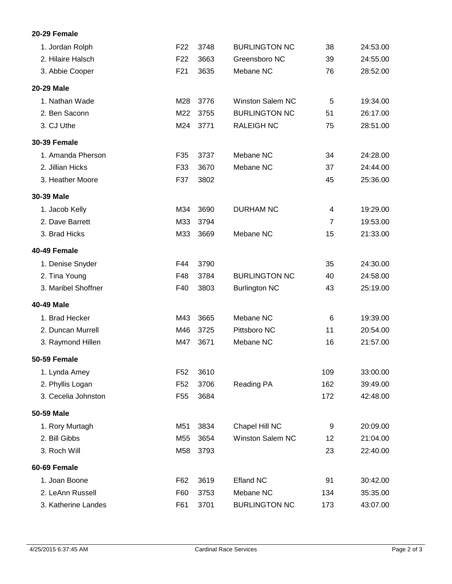## **20-29 Female**

| 1. Jordan Rolph     | F <sub>22</sub> | 3748 | <b>BURLINGTON NC</b>    | 38  | 24:53.00 |
|---------------------|-----------------|------|-------------------------|-----|----------|
| 2. Hilaire Halsch   | F <sub>22</sub> | 3663 | Greensboro NC           | 39  | 24:55.00 |
| 3. Abbie Cooper     | F <sub>21</sub> | 3635 | Mebane NC               | 76  | 28:52.00 |
| <b>20-29 Male</b>   |                 |      |                         |     |          |
| 1. Nathan Wade      | M28             | 3776 | <b>Winston Salem NC</b> | 5   | 19:34.00 |
| 2. Ben Saconn       | M22             | 3755 | <b>BURLINGTON NC</b>    | 51  | 26:17.00 |
| 3. CJ Uthe          | M24             | 3771 | <b>RALEIGH NC</b>       | 75  | 28:51.00 |
| <b>30-39 Female</b> |                 |      |                         |     |          |
| 1. Amanda Pherson   | F35             | 3737 | Mebane NC               | 34  | 24:28.00 |
| 2. Jillian Hicks    | F33             | 3670 | Mebane NC               | 37  | 24:44.00 |
| 3. Heather Moore    | F37             | 3802 |                         | 45  | 25:36.00 |
| 30-39 Male          |                 |      |                         |     |          |
| 1. Jacob Kelly      | M34             | 3690 | <b>DURHAM NC</b>        | 4   | 19:29.00 |
| 2. Dave Barrett     | M33             | 3794 |                         | 7   | 19:53.00 |
| 3. Brad Hicks       | M33             | 3669 | Mebane NC               | 15  | 21:33.00 |
| 40-49 Female        |                 |      |                         |     |          |
| 1. Denise Snyder    | F44             | 3790 |                         | 35  | 24:30.00 |
| 2. Tina Young       | F48             | 3784 | <b>BURLINGTON NC</b>    | 40  | 24:58.00 |
| 3. Maribel Shoffner | F40             | 3803 | <b>Burlington NC</b>    | 43  | 25:19.00 |
| 40-49 Male          |                 |      |                         |     |          |
| 1. Brad Hecker      | M43             | 3665 | Mebane NC               | 6   | 19:39.00 |
| 2. Duncan Murrell   | M46             | 3725 | Pittsboro NC            | 11  | 20:54.00 |
| 3. Raymond Hillen   | M47             | 3671 | Mebane NC               | 16  | 21:57.00 |
| <b>50-59 Female</b> |                 |      |                         |     |          |
| 1. Lynda Amey       | F52             | 3610 |                         | 109 | 33:00.00 |
| 2. Phyllis Logan    | F <sub>52</sub> | 3706 | <b>Reading PA</b>       | 162 | 39:49.00 |
| 3. Cecelia Johnston | F <sub>55</sub> | 3684 |                         | 172 | 42:48.00 |
| 50-59 Male          |                 |      |                         |     |          |
| 1. Rory Murtagh     | M51             | 3834 | Chapel Hill NC          | 9   | 20:09.00 |
| 2. Bill Gibbs       | M55             | 3654 | <b>Winston Salem NC</b> | 12  | 21:04.00 |
| 3. Roch Will        | M58             | 3793 |                         | 23  | 22:40.00 |
| 60-69 Female        |                 |      |                         |     |          |
| 1. Joan Boone       | F62             | 3619 | <b>Efland NC</b>        | 91  | 30:42.00 |
| 2. LeAnn Russell    | F60             | 3753 | Mebane NC               | 134 | 35:35.00 |
| 3. Katherine Landes | F61             | 3701 | <b>BURLINGTON NC</b>    | 173 | 43:07.00 |